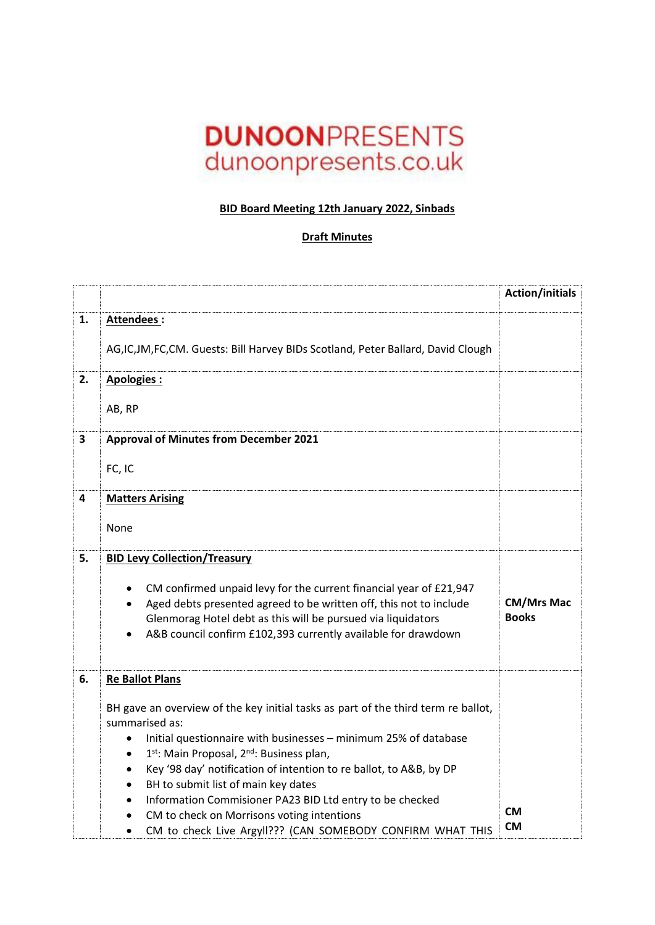## **DUNOONPRESENTS** dunoonpresents.co.uk

## **BID Board Meeting 12th January 2022, Sinbads**

## **Draft Minutes**

|                         |                                                                                                                                                                                                                                                                                                                                                                                                                                                                                                                                                                         | <b>Action/initials</b>            |
|-------------------------|-------------------------------------------------------------------------------------------------------------------------------------------------------------------------------------------------------------------------------------------------------------------------------------------------------------------------------------------------------------------------------------------------------------------------------------------------------------------------------------------------------------------------------------------------------------------------|-----------------------------------|
| 1.                      | Attendees:                                                                                                                                                                                                                                                                                                                                                                                                                                                                                                                                                              |                                   |
|                         | AG,IC,JM,FC,CM. Guests: Bill Harvey BIDs Scotland, Peter Ballard, David Clough                                                                                                                                                                                                                                                                                                                                                                                                                                                                                          |                                   |
| 2.                      | Apologies:                                                                                                                                                                                                                                                                                                                                                                                                                                                                                                                                                              |                                   |
|                         | AB, RP                                                                                                                                                                                                                                                                                                                                                                                                                                                                                                                                                                  |                                   |
| $\overline{\mathbf{3}}$ | <b>Approval of Minutes from December 2021</b>                                                                                                                                                                                                                                                                                                                                                                                                                                                                                                                           |                                   |
|                         | FC, IC                                                                                                                                                                                                                                                                                                                                                                                                                                                                                                                                                                  |                                   |
| 4                       | <b>Matters Arising</b>                                                                                                                                                                                                                                                                                                                                                                                                                                                                                                                                                  |                                   |
|                         | None                                                                                                                                                                                                                                                                                                                                                                                                                                                                                                                                                                    |                                   |
| 5.                      | <b>BID Levy Collection/Treasury</b>                                                                                                                                                                                                                                                                                                                                                                                                                                                                                                                                     |                                   |
|                         | CM confirmed unpaid levy for the current financial year of £21,947<br>Aged debts presented agreed to be written off, this not to include<br>Glenmorag Hotel debt as this will be pursued via liquidators<br>A&B council confirm £102,393 currently available for drawdown                                                                                                                                                                                                                                                                                               | <b>CM/Mrs Mac</b><br><b>Books</b> |
| 6.                      | <b>Re Ballot Plans</b>                                                                                                                                                                                                                                                                                                                                                                                                                                                                                                                                                  |                                   |
|                         | BH gave an overview of the key initial tasks as part of the third term re ballot,<br>summarised as:<br>Initial questionnaire with businesses - minimum 25% of database<br>$\bullet$<br>1 <sup>st</sup> : Main Proposal, 2 <sup>nd</sup> : Business plan,<br>$\bullet$<br>Key '98 day' notification of intention to re ballot, to A&B, by DP<br>$\bullet$<br>BH to submit list of main key dates<br>Information Commisioner PA23 BID Ltd entry to be checked<br>CM to check on Morrisons voting intentions<br>CM to check Live Argyll??? (CAN SOMEBODY CONFIRM WHAT THIS | <b>CM</b><br><b>CM</b>            |